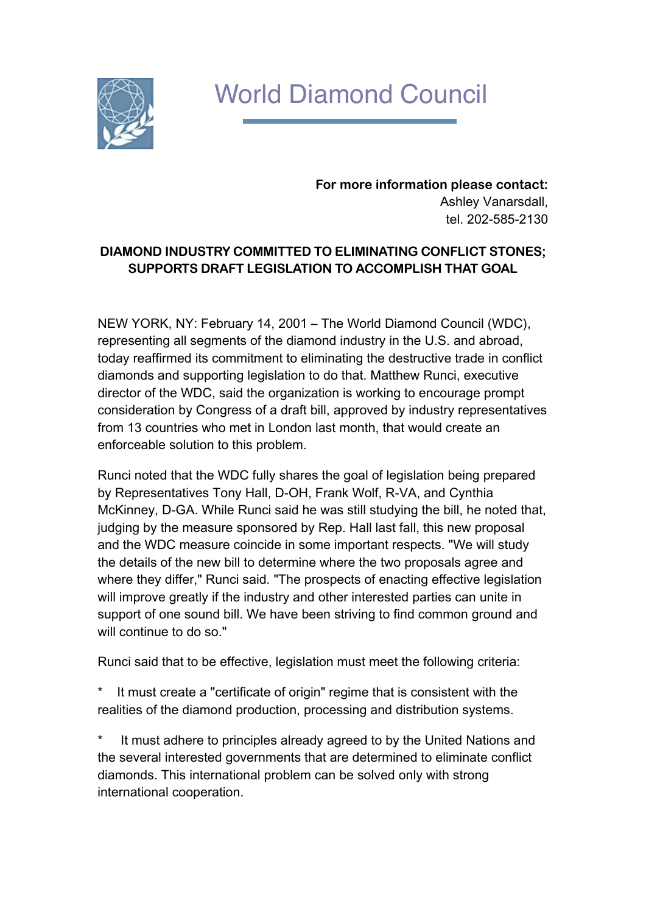

## World Diamond Council

**For more information please contact:** Ashley Vanarsdall, tel. 202-585-2130

## **DIAMOND INDUSTRY COMMITTED TO ELIMINATING CONFLICT STONES; SUPPORTS DRAFT LEGISLATION TO ACCOMPLISH THAT GOAL**

NEW YORK, NY: February 14, 2001 – The World Diamond Council (WDC), representing all segments of the diamond industry in the U.S. and abroad, today reaffirmed its commitment to eliminating the destructive trade in conflict diamonds and supporting legislation to do that. Matthew Runci, executive director of the WDC, said the organization is working to encourage prompt consideration by Congress of a draft bill, approved by industry representatives from 13 countries who met in London last month, that would create an enforceable solution to this problem.

Runci noted that the WDC fully shares the goal of legislation being prepared by Representatives Tony Hall, D-OH, Frank Wolf, R-VA, and Cynthia McKinney, D-GA. While Runci said he was still studying the bill, he noted that, judging by the measure sponsored by Rep. Hall last fall, this new proposal and the WDC measure coincide in some important respects. "We will study the details of the new bill to determine where the two proposals agree and where they differ," Runci said. "The prospects of enacting effective legislation will improve greatly if the industry and other interested parties can unite in support of one sound bill. We have been striving to find common ground and will continue to do so."

Runci said that to be effective, legislation must meet the following criteria:

It must create a "certificate of origin" regime that is consistent with the realities of the diamond production, processing and distribution systems.

It must adhere to principles already agreed to by the United Nations and the several interested governments that are determined to eliminate conflict diamonds. This international problem can be solved only with strong international cooperation.